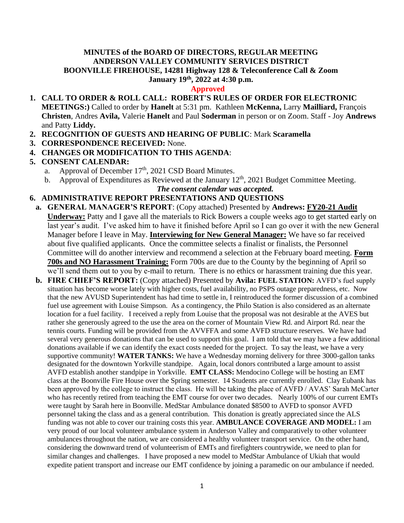#### **MINUTES of the BOARD OF DIRECTORS, REGULAR MEETING ANDERSON VALLEY COMMUNITY SERVICES DISTRICT BOONVILLE FIREHOUSE, 14281 Highway 128 & Teleconference Call & Zoom January 19 th , 2022 at 4:30 p.m.**

#### **Approved**

- **1. CALL TO ORDER & ROLL CALL: ROBERT'S RULES OF ORDER FOR ELECTRONIC MEETINGS:)** Called to order by **Hanelt** at 5:31 pm. Kathleen **McKenna,** Larry **Mailliard,** François **Christen**, Andres **Avila,** Valerie **Hanelt** and Paul **Soderman** in person or on Zoom. Staff - Joy **Andrews** and Patty **Liddy.**
- **2. RECOGNITION OF GUESTS AND HEARING OF PUBLIC**: Mark **Scaramella**
- **3. CORRESPONDENCE RECEIVED:** None.
- **4. CHANGES OR MODIFICATION TO THIS AGENDA**:
- **5. CONSENT CALENDAR:**
	- a. Approval of December  $17<sup>th</sup>$ , 2021 CSD Board Minutes.
	- b. Approval of Expenditures as Reviewed at the January  $12<sup>th</sup>$ , 2021 Budget Committee Meeting.

*The consent calendar was accepted.*

## **6. ADMINISTRATIVE REPORT PRESENTATIONS AND QUESTIONS**

- **a. GENERAL MANAGER'S REPORT**: (Copy attached) Presented by **Andrews: FY20-21 Audit Underway:** Patty and I gave all the materials to Rick Bowers a couple weeks ago to get started early on last year's audit. I've asked him to have it finished before April so I can go over it with the new General Manager before I leave in May. **Interviewing for New General Manager:** We have so far received about five qualified applicants. Once the committee selects a finalist or finalists, the Personnel Committee will do another interview and recommend a selection at the February board meeting. **Form 700s and NO Harassment Training:** Form 700s are due to the County by the beginning of April so we'll send them out to you by e-mail to return. There is no ethics or harassment training due this year.
- **b. FIRE CHIEF'S REPORT:** (Copy attached) Presented by **Avila: FUEL STATION:** AVFD's fuel supply situation has become worse lately with higher costs, fuel availability, no PSPS outage preparedness, etc. Now that the new AVUSD Superintendent has had time to settle in, I reintroduced the former discussion of a combined fuel use agreement with Louise Simpson. As a contingency, the Philo Station is also considered as an alternate location for a fuel facility. I received a reply from Louise that the proposal was not desirable at the AVES but rather she generously agreed to the use the area on the corner of Mountain View Rd. and Airport Rd. near the tennis courts. Funding will be provided from the AVVFFA and some AVFD structure reserves. We have had several very generous donations that can be used to support this goal. I am told that we may have a few additional donations available if we can identify the exact costs needed for the project. To say the least, we have a very supportive community! **WATER TANKS:** We have a Wednesday morning delivery for three 3000-gallon tanks designated for the downtown Yorkville standpipe. Again, local donors contributed a large amount to assist AVFD establish another standpipe in Yorkville. **EMT CLASS:** Mendocino College will be hosting an EMT class at the Boonville Fire House over the Spring semester. 14 Students are currently enrolled. Clay Eubank has been approved by the college to instruct the class. He will be taking the place of AVFD / AVAS' Sarah McCarter who has recently retired from teaching the EMT course for over two decades. Nearly 100% of our current EMTs were taught by Sarah here in Boonville. MedStar Ambulance donated \$8500 to AVFD to sponsor AVFD personnel taking the class and as a general contribution. This donation is greatly appreciated since the ALS funding was not able to cover our training costs this year. **AMBULANCE COVERAGE AND MODEL:** I am very proud of our local volunteer ambulance system in Anderson Valley and comparatively to other volunteer ambulances throughout the nation, we are considered a healthy volunteer transport service. On the other hand, considering the downward trend of volunteerism of EMTs and firefighters countrywide, we need to plan for similar changes and challenges. I have proposed a new model to MedStar Ambulance of Ukiah that would expedite patient transport and increase our EMT confidence by joining a paramedic on our ambulance if needed.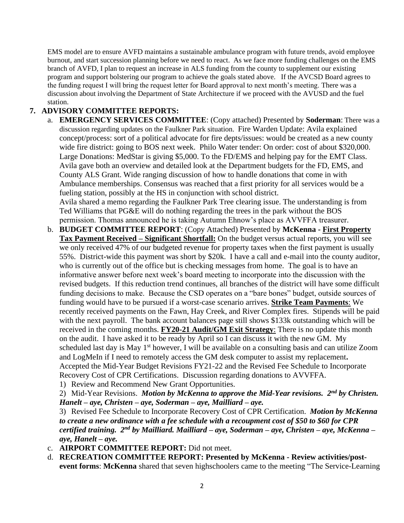EMS model are to ensure AVFD maintains a sustainable ambulance program with future trends, avoid employee burnout, and start succession planning before we need to react. As we face more funding challenges on the EMS branch of AVFD, I plan to request an increase in ALS funding from the county to supplement our existing program and support bolstering our program to achieve the goals stated above. If the AVCSD Board agrees to the funding request I will bring the request letter for Board approval to next month's meeting. There was a discussion about involving the Department of State Architecture if we proceed with the AVUSD and the fuel station.

# **7. ADVISORY COMMITTEE REPORTS:**

- a. **EMERGENCY SERVICES COMMITTEE**: (Copy attached) Presented by **Soderman**: There was a discussion regarding updates on the Faulkner Park situation. Fire Warden Update: Avila explained concept/process: sort of a political advocate for fire depts/issues: would be created as a new county wide fire district: going to BOS next week. Philo Water tender: On order: cost of about \$320,000. Large Donations: MedStar is giving \$5,000. To the FD/EMS and helping pay for the EMT Class. Avila gave both an overview and detailed look at the Department budgets for the FD, EMS, and County ALS Grant. Wide ranging discussion of how to handle donations that come in with Ambulance memberships. Consensus was reached that a first priority for all services would be a fueling station, possibly at the HS in conjunction with school district. Avila shared a memo regarding the Faulkner Park Tree clearing issue. The understanding is from Ted Williams that PG&E will do nothing regarding the trees in the park without the BOS permission. Thomas announced he is taking Autumn Ehnow's place as AVVFFA treasurer.
- b. **BUDGET COMMITTEE REPORT**: (Copy Attached) Presented by **McKenna - First Property Tax Payment Received – Significant Shortfall:** On the budget versus actual reports, you will see we only received 47% of our budgeted revenue for property taxes when the first payment is usually 55%. District-wide this payment was short by \$20k. I have a call and e-mail into the county auditor, who is currently out of the office but is checking messages from home. The goal is to have an informative answer before next week's board meeting to incorporate into the discussion with the revised budgets. If this reduction trend continues, all branches of the district will have some difficult funding decisions to make. Because the CSD operates on a "bare bones" budget, outside sources of funding would have to be pursued if a worst-case scenario arrives. **Strike Team Payments**: We recently received payments on the Fawn, Hay Creek, and River Complex fires. Stipends will be paid with the next payroll. The bank account balances page still shows \$133k outstanding which will be received in the coming months. **FY20-21 Audit/GM Exit Strategy**: There is no update this month on the audit. I have asked it to be ready by April so I can discuss it with the new GM. My scheduled last day is May 1<sup>st</sup> however, I will be available on a consulting basis and can utilize Zoom and LogMeIn if I need to remotely access the GM desk computer to assist my replacement**.** Accepted the Mid-Year Budget Revisions FY21-22 and the Revised Fee Schedule to Incorporate Recovery Cost of CPR Certifications. Discussion regarding donations to AVVFFA.
	- 1) Review and Recommend New Grant Opportunities.

2) Mid-Year Revisions. *Motion by McKenna to approve the Mid-Year revisions. 2nd by Christen. Hanelt – aye, Christen – aye, Soderman – aye, Mailliard – aye.*

3) Revised Fee Schedule to Incorporate Recovery Cost of CPR Certification. *Motion by McKenna to create a new ordinance with a fee schedule with a recoupment cost of \$50 to \$60 for CPR certified training. 2nd by Mailliard. Mailliard – aye, Soderman – aye, Christen – aye, McKenna – aye, Hanelt – aye.*

- c. **AIRPORT COMMITTEE REPORT:** Did not meet.
- d. **RECREATION COMMITTEE REPORT: Presented by McKenna - Review activities/postevent forms**: **McKenna** shared that seven highschoolers came to the meeting "The Service-Learning